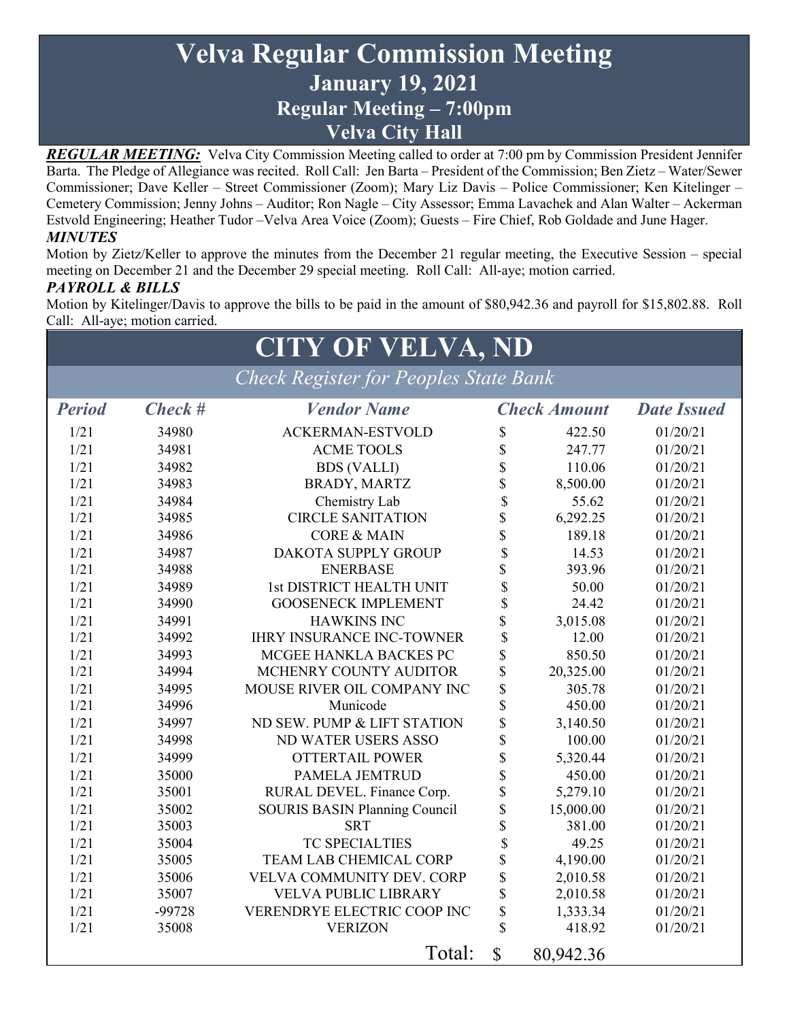# **Velva Regular Commission Meeting January 19, 2021 Regular Meeting – 7:00pm Velva City Hall**

*REGULAR MEETING:* Velva City Commission Meeting called to order at 7:00 pm by Commission President Jennifer Barta. The Pledge of Allegiance was recited. Roll Call: Jen Barta – President of the Commission; Ben Zietz – Water/Sewer Commissioner; Dave Keller – Street Commissioner (Zoom); Mary Liz Davis – Police Commissioner; Ken Kitelinger – Cemetery Commission; Jenny Johns – Auditor; Ron Nagle – City Assessor; Emma Lavachek and Alan Walter – Ackerman Estvold Engineering; Heather Tudor –Velva Area Voice (Zoom); Guests – Fire Chief, Rob Goldade and June Hager. *MINUTES*

Motion by Zietz/Keller to approve the minutes from the December 21 regular meeting, the Executive Session – special meeting on December 21 and the December 29 special meeting. Roll Call: All-aye; motion carried.

### *PAYROLL & BILLS*

Motion by Kitelinger/Davis to approve the bills to be paid in the amount of \$80,942.36 and payroll for \$15,802.88. Roll Call: All-aye; motion carried.

# **CITY OF VELVA, ND**

*Check Register for Peoples State Bank*

| <b>Period</b> | $Check$ # | <b>Vendor Name</b>                   |                         | <b>Check Amount</b> | <b>Date Issued</b> |
|---------------|-----------|--------------------------------------|-------------------------|---------------------|--------------------|
| 1/21          | 34980     | <b>ACKERMAN-ESTVOLD</b>              | \$                      | 422.50              | 01/20/21           |
| 1/21          | 34981     | <b>ACME TOOLS</b>                    | \$                      | 247.77              | 01/20/21           |
| 1/21          | 34982     | <b>BDS (VALLI)</b>                   | \$                      | 110.06              | 01/20/21           |
| 1/21          | 34983     | BRADY, MARTZ                         | \$                      | 8,500.00            | 01/20/21           |
| 1/21          | 34984     | Chemistry Lab                        | \$                      | 55.62               | 01/20/21           |
| 1/21          | 34985     | <b>CIRCLE SANITATION</b>             | \$                      | 6,292.25            | 01/20/21           |
| 1/21          | 34986     | <b>CORE &amp; MAIN</b>               | \$                      | 189.18              | 01/20/21           |
| 1/21          | 34987     | <b>DAKOTA SUPPLY GROUP</b>           | \$                      | 14.53               | 01/20/21           |
| 1/21          | 34988     | <b>ENERBASE</b>                      | \$                      | 393.96              | 01/20/21           |
| 1/21          | 34989     | 1st DISTRICT HEALTH UNIT             | \$                      | 50.00               | 01/20/21           |
| 1/21          | 34990     | <b>GOOSENECK IMPLEMENT</b>           | \$                      | 24.42               | 01/20/21           |
| 1/21          | 34991     | <b>HAWKINS INC</b>                   | \$                      | 3,015.08            | 01/20/21           |
| 1/21          | 34992     | <b>IHRY INSURANCE INC-TOWNER</b>     | \$                      | 12.00               | 01/20/21           |
| 1/21          | 34993     | MCGEE HANKLA BACKES PC               | \$                      | 850.50              | 01/20/21           |
| 1/21          | 34994     | MCHENRY COUNTY AUDITOR               | \$                      | 20,325.00           | 01/20/21           |
| 1/21          | 34995     | MOUSE RIVER OIL COMPANY INC          | \$                      | 305.78              | 01/20/21           |
| 1/21          | 34996     | Municode                             | \$                      | 450.00              | 01/20/21           |
| 1/21          | 34997     | ND SEW. PUMP & LIFT STATION          | \$                      | 3,140.50            | 01/20/21           |
| 1/21          | 34998     | ND WATER USERS ASSO                  | \$                      | 100.00              | 01/20/21           |
| 1/21          | 34999     | <b>OTTERTAIL POWER</b>               | \$                      | 5,320.44            | 01/20/21           |
| 1/21          | 35000     | <b>PAMELA JEMTRUD</b>                | \$                      | 450.00              | 01/20/21           |
| 1/21          | 35001     | RURAL DEVEL. Finance Corp.           | \$                      | 5,279.10            | 01/20/21           |
| 1/21          | 35002     | <b>SOURIS BASIN Planning Council</b> | \$                      | 15,000.00           | 01/20/21           |
| 1/21          | 35003     | <b>SRT</b>                           | \$                      | 381.00              | 01/20/21           |
| 1/21          | 35004     | <b>TC SPECIALTIES</b>                | \$                      | 49.25               | 01/20/21           |
| 1/21          | 35005     | <b>TEAM LAB CHEMICAL CORP</b>        | \$                      | 4,190.00            | 01/20/21           |
| 1/21          | 35006     | VELVA COMMUNITY DEV. CORP            | \$                      | 2,010.58            | 01/20/21           |
| 1/21          | 35007     | VELVA PUBLIC LIBRARY                 | $\overline{\mathbb{S}}$ | 2,010.58            | 01/20/21           |
| 1/21          | $-99728$  | VERENDRYE ELECTRIC COOP INC          | \$                      | 1,333.34            | 01/20/21           |
| 1/21          | 35008     | <b>VERIZON</b>                       | \$                      | 418.92              | 01/20/21           |
|               |           | Total:                               | $\mathbb{S}$            | 80,942.36           |                    |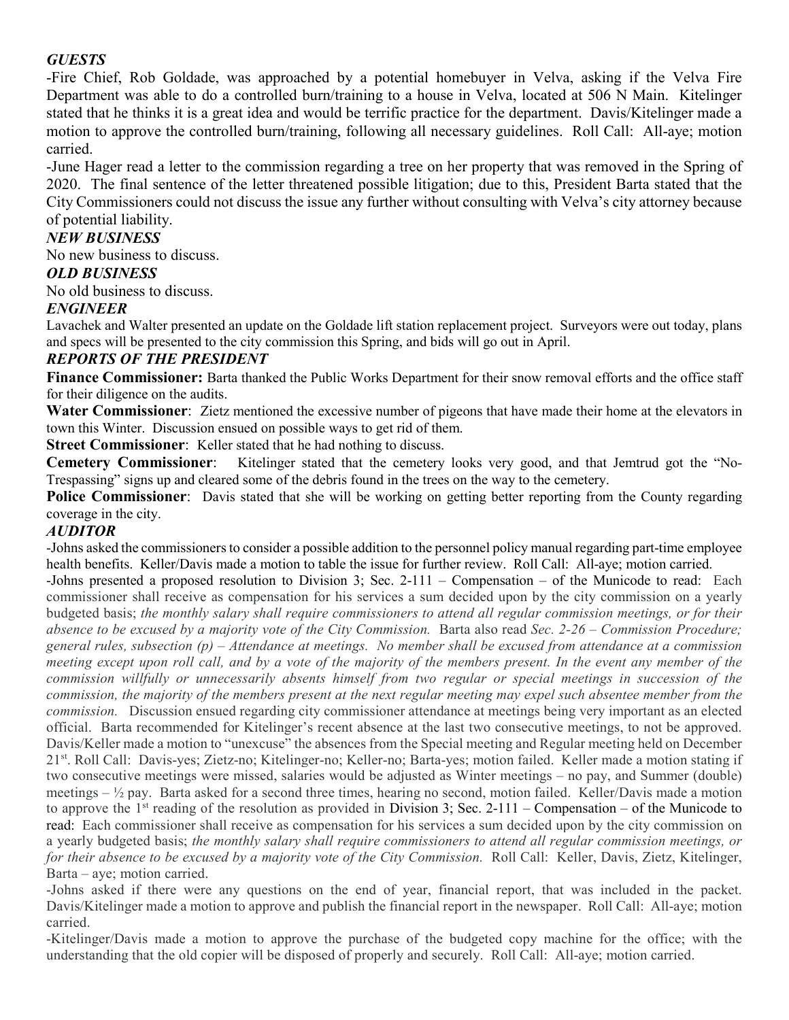## *GUESTS*

-Fire Chief, Rob Goldade, was approached by a potential homebuyer in Velva, asking if the Velva Fire Department was able to do a controlled burn/training to a house in Velva, located at 506 N Main. Kitelinger stated that he thinks it is a great idea and would be terrific practice for the department. Davis/Kitelinger made a motion to approve the controlled burn/training, following all necessary guidelines. Roll Call: All-aye; motion carried.

-June Hager read a letter to the commission regarding a tree on her property that was removed in the Spring of 2020. The final sentence of the letter threatened possible litigation; due to this, President Barta stated that the City Commissioners could not discuss the issue any further without consulting with Velva's city attorney because of potential liability.

#### *NEW BUSINESS*

No new business to discuss.

#### *OLD BUSINESS*

No old business to discuss.

#### *ENGINEER*

Lavachek and Walter presented an update on the Goldade lift station replacement project. Surveyors were out today, plans and specs will be presented to the city commission this Spring, and bids will go out in April.

#### *REPORTS OF THE PRESIDENT*

**Finance Commissioner:** Barta thanked the Public Works Department for their snow removal efforts and the office staff for their diligence on the audits.

**Water Commissioner**: Zietz mentioned the excessive number of pigeons that have made their home at the elevators in town this Winter. Discussion ensued on possible ways to get rid of them.

**Street Commissioner:** Keller stated that he had nothing to discuss.

**Cemetery Commissioner**: Kitelinger stated that the cemetery looks very good, and that Jemtrud got the "No-Trespassing" signs up and cleared some of the debris found in the trees on the way to the cemetery.

**Police Commissioner:** Davis stated that she will be working on getting better reporting from the County regarding coverage in the city.

#### *AUDITOR*

-Johns asked the commissioners to consider a possible addition to the personnel policy manual regarding part-time employee health benefits. Keller/Davis made a motion to table the issue for further review. Roll Call: All-aye; motion carried.

-Johns presented a proposed resolution to Division 3; Sec. 2-111 – Compensation – of the Municode to read: Each commissioner shall receive as compensation for his services a sum decided upon by the city commission on a yearly budgeted basis; *the monthly salary shall require commissioners to attend all regular commission meetings, or for their absence to be excused by a majority vote of the City Commission.* Barta also read *Sec. 2-26 – Commission Procedure; general rules, subsection (p) – Attendance at meetings. No member shall be excused from attendance at a commission meeting except upon roll call, and by a vote of the majority of the members present. In the event any member of the commission willfully or unnecessarily absents himself from two regular or special meetings in succession of the commission, the majority of the members present at the next regular meeting may expel such absentee member from the commission.* Discussion ensued regarding city commissioner attendance at meetings being very important as an elected official. Barta recommended for Kitelinger's recent absence at the last two consecutive meetings, to not be approved. Davis/Keller made a motion to "unexcuse" the absences from the Special meeting and Regular meeting held on December 21st. Roll Call: Davis-yes; Zietz-no; Kitelinger-no; Keller-no; Barta-yes; motion failed. Keller made a motion stating if two consecutive meetings were missed, salaries would be adjusted as Winter meetings – no pay, and Summer (double) meetings  $-\frac{1}{2}$  pay. Barta asked for a second three times, hearing no second, motion failed. Keller/Davis made a motion to approve the 1<sup>st</sup> reading of the resolution as provided in Division 3; Sec. 2-111 – Compensation – of the Municode to read: Each commissioner shall receive as compensation for his services a sum decided upon by the city commission on a yearly budgeted basis; *the monthly salary shall require commissioners to attend all regular commission meetings, or for their absence to be excused by a majority vote of the City Commission.* Roll Call: Keller, Davis, Zietz, Kitelinger, Barta – aye; motion carried.

-Johns asked if there were any questions on the end of year, financial report, that was included in the packet. Davis/Kitelinger made a motion to approve and publish the financial report in the newspaper. Roll Call: All-aye; motion carried.

-Kitelinger/Davis made a motion to approve the purchase of the budgeted copy machine for the office; with the understanding that the old copier will be disposed of properly and securely. Roll Call: All-aye; motion carried.